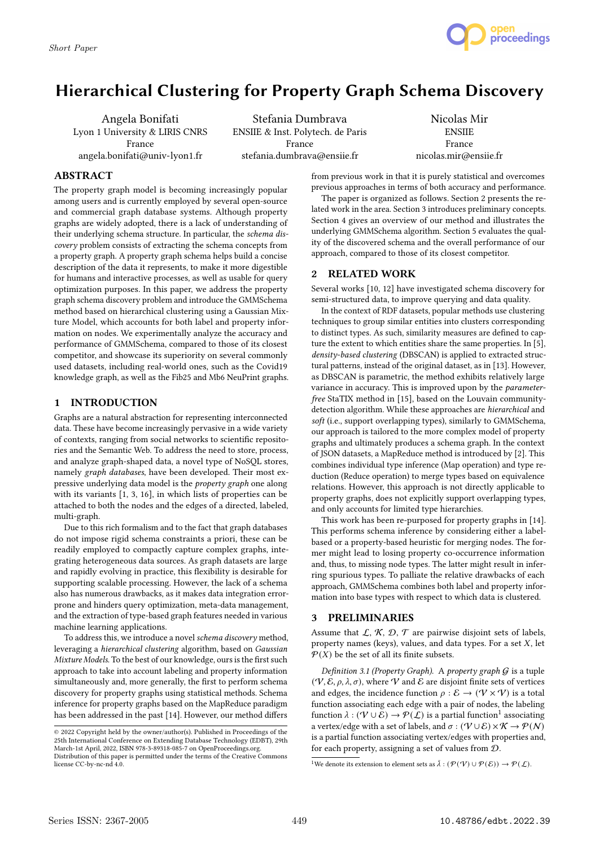

# Hierarchical Clustering for Property Graph Schema Discovery

Angela Bonifati Lyon 1 University & LIRIS CNRS France angela.bonifati@univ-lyon1.fr

Stefania Dumbrava ENSIIE & Inst. Polytech. de Paris France stefania.dumbrava@ensiie.fr

Nicolas Mir **ENSIIE** France nicolas.mir@ensiie.fr

# ABSTRACT

The property graph model is becoming increasingly popular among users and is currently employed by several open-source and commercial graph database systems. Although property graphs are widely adopted, there is a lack of understanding of their underlying schema structure. In particular, the schema discovery problem consists of extracting the schema concepts from a property graph. A property graph schema helps build a concise description of the data it represents, to make it more digestible for humans and interactive processes, as well as usable for query optimization purposes. In this paper, we address the property graph schema discovery problem and introduce the GMMSchema method based on hierarchical clustering using a Gaussian Mixture Model, which accounts for both label and property information on nodes. We experimentally analyze the accuracy and performance of GMMSchema, compared to those of its closest competitor, and showcase its superiority on several commonly used datasets, including real-world ones, such as the Covid19 knowledge graph, as well as the Fib25 and Mb6 NeuPrint graphs.

# 1 INTRODUCTION

Graphs are a natural abstraction for representing interconnected data. These have become increasingly pervasive in a wide variety of contexts, ranging from social networks to scientific repositories and the Semantic Web. To address the need to store, process, and analyze graph-shaped data, a novel type of NoSQL stores, namely graph databases, have been developed. Their most expressive underlying data model is the property graph one along with its variants [1, 3, 16], in which lists of properties can be attached to both the nodes and the edges of a directed, labeled, multi-graph.

Due to this rich formalism and to the fact that graph databases do not impose rigid schema constraints a priori, these can be readily employed to compactly capture complex graphs, integrating heterogeneous data sources. As graph datasets are large and rapidly evolving in practice, this flexibility is desirable for supporting scalable processing. However, the lack of a schema also has numerous drawbacks, as it makes data integration errorprone and hinders query optimization, meta-data management, and the extraction of type-based graph features needed in various machine learning applications.

To address this, we introduce a novel schema discovery method, leveraging a hierarchical clustering algorithm, based on Gaussian Mixture Models. To the best of our knowledge, ours is the first such approach to take into account labeling and property information simultaneously and, more generally, the first to perform schema discovery for property graphs using statistical methods. Schema inference for property graphs based on the MapReduce paradigm has been addressed in the past [14]. However, our method differs

from previous work in that it is purely statistical and overcomes previous approaches in terms of both accuracy and performance.

The paper is organized as follows. Section 2 presents the related work in the area. Section 3 introduces preliminary concepts. Section 4 gives an overview of our method and illustrates the underlying GMMSchema algorithm. Section 5 evaluates the quality of the discovered schema and the overall performance of our approach, compared to those of its closest competitor.

# 2 RELATED WORK

Several works [10, 12] have investigated schema discovery for semi-structured data, to improve querying and data quality.

In the context of RDF datasets, popular methods use clustering techniques to group similar entities into clusters corresponding to distinct types. As such, similarity measures are defined to capture the extent to which entities share the same properties. In [5], density-based clustering (DBSCAN) is applied to extracted structural patterns, instead of the original dataset, as in [13]. However, as DBSCAN is parametric, the method exhibits relatively large variance in accuracy. This is improved upon by the *parameter*free StaTIX method in [15], based on the Louvain communitydetection algorithm. While these approaches are hierarchical and soft (i.e., support overlapping types), similarly to GMMSchema, our approach is tailored to the more complex model of property graphs and ultimately produces a schema graph. In the context of JSON datasets, a MapReduce method is introduced by [2]. This combines individual type inference (Map operation) and type reduction (Reduce operation) to merge types based on equivalence relations. However, this approach is not directly applicable to property graphs, does not explicitly support overlapping types, and only accounts for limited type hierarchies.

This work has been re-purposed for property graphs in [14]. This performs schema inference by considering either a labelbased or a property-based heuristic for merging nodes. The former might lead to losing property co-occurrence information and, thus, to missing node types. The latter might result in inferring spurious types. To palliate the relative drawbacks of each approach, GMMSchema combines both label and property information into base types with respect to which data is clustered.

## 3 PRELIMINARIES

Assume that  $\mathcal{L}, \mathcal{K}, \mathcal{D}, \mathcal{T}$  are pairwise disjoint sets of labels, property names (keys), values, and data types. For a set  $X$ , let  $P(X)$  be the set of all its finite subsets.

Definition 3.1 (Property Graph). A property graph  $G$  is a tuple  $(\mathcal{V}, \mathcal{E}, \rho, \lambda, \sigma),$  where  $\mathcal V$  and  $\mathcal E$  are disjoint finite sets of vertices and edges, the incidence function  $\rho : \mathcal{E} \to (\mathcal{V} \times \mathcal{V})$  is a total function associating each edge with a pair of nodes, the labeling function  $\lambda : (\mathcal{V} \cup \mathcal{E}) \to \mathcal{P}(\mathcal{L})$  is a partial function<sup>1</sup> associating a vertex/edge with a set of labels, and  $\sigma:(\mathcal{V}\cup\mathcal{E})\times\mathcal{K}\rightarrow\mathcal{P}(\mathcal{N})$ is a partial function associating vertex/edges with properties and, for each property, assigning a set of values from D.

<sup>1</sup>We denote its extension to element sets as  $\bar{\lambda}: (\mathcal{P}(\mathcal{V}) \cup \mathcal{P}(\mathcal{E})) \to \mathcal{P}(\mathcal{L})$ .

<sup>©</sup> 2022 Copyright held by the owner/author(s). Published in Proceedings of the 25th International Conference on Extending Database Technology (EDBT), 29th March-1st April, 2022, ISBN 978-3-89318-085-7 on OpenProceedings.org. Distribution of this paper is permitted under the terms of the Creative Commons

license CC-by-nc-nd 4.0.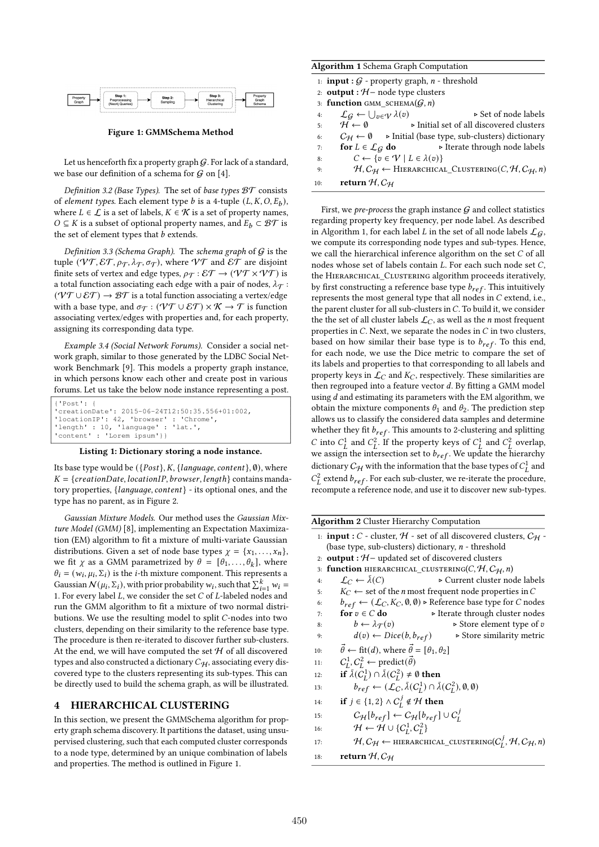

Figure 1: GMMSchema Method

Let us henceforth fix a property graph  $G$ . For lack of a standard, we base our definition of a schema for  $G$  on [4].

Definition 3.2 (Base Types). The set of base types  $BT$  consists of element types. Each element type b is a 4-tuple  $(L, K, O, E_b)$ , where  $L \in \mathcal{L}$  is a set of labels,  $K \in \mathcal{K}$  is a set of property names,  $O ⊆ K$  is a subset of optional property names, and  $E_b ⊂ BT$  is the set of element types that  $b$  extends.

Definition 3.3 (Schema Graph). The schema graph of  $G$  is the tuple ( $\forall \mathcal{T}, \mathcal{ET}, \rho_{\mathcal{T}}, \lambda_{\mathcal{T}}, \sigma_{\mathcal{T}}$ ), where  $\mathcal{VT}$  and  $\mathcal{ET}$  are disjoint finite sets of vertex and edge types,  $\rho_{\mathcal{T}} : \mathcal{ET} \to (\mathcal{VT} \times \mathcal{VT})$  is a total function associating each edge with a pair of nodes,  $\lambda_{\mathcal{T}}$ :  $(\mathcal{V} \mathcal{T} \cup \mathcal{E} \mathcal{T}) \rightarrow \mathcal{B} \mathcal{T}$  is a total function associating a vertex/edge with a base type, and  $\sigma_{\mathcal{T}} : (\mathcal{V}\mathcal{T} \cup \mathcal{E}\mathcal{T}) \times \mathcal{K} \to \mathcal{T}$  is function associating vertex/edges with properties and, for each property, assigning its corresponding data type.

Example 3.4 (Social Network Forums). Consider a social network graph, similar to those generated by the LDBC Social Network Benchmark [9]. This models a property graph instance, in which persons know each other and create post in various forums. Let us take the below node instance representing a post.

```
{'Post': {
'creationDate': 2015-06-24T12:50:35.556+01:002,
'locationIP': 42, 'browser' : 'Chrome',
'length' : 10, 'language' : 'lat.',
'length<mark>' : 10, 'language' :</mark><br>'content' : 'Lorem ipsum'}}
```
## Listing 1: Dictionary storing a node instance.

Its base type would be  $({{Post}\n, K,{{{language, content}\n}}}, \emptyset)$ , where  $K = \{creationDate, locationIP, browser, length\}$  contains mandatory properties,  ${language, content}$  - its optional ones, and the type has no parent, as in Figure 2.

Gaussian Mixture Models. Our method uses the Gaussian Mixture Model (GMM) [8], implementing an Expectation Maximization (EM) algorithm to fit a mixture of multi-variate Gaussian distributions. Given a set of node base types  $\chi = \{x_1, \ldots, x_n\}$ , we fit  $\chi$  as a GMM parametrized by  $\theta = [\theta_1, \ldots, \theta_k]$ , where  $\theta_i = (w_i, \mu_i, \Sigma_i)$  is the *i*-th mixture component. This represents a Gaussian  $\mathcal{N}(\mu_i, \Sigma_i)$ , with prior probability  $w_i$ , such that  $\sum_{i=1}^k w_i =$ 1. For every label  $L$ , we consider the set  $C$  of  $L$ -labeled nodes and run the GMM algorithm to fit a mixture of two normal distributions. We use the resulting model to split C-nodes into two clusters, depending on their similarity to the reference base type. The procedure is then re-iterated to discover further sub-clusters. At the end, we will have computed the set  $H$  of all discovered types and also constructed a dictionary  $C_{H}$ , associating every discovered type to the clusters representing its sub-types. This can be directly used to build the schema graph, as will be illustrated.

### 4 HIERARCHICAL CLUSTERING

In this section, we present the GMMSchema algorithm for property graph schema discovery. It partitions the dataset, using unsupervised clustering, such that each computed cluster corresponds to a node type, determined by an unique combination of labels and properties. The method is outlined in Figure 1.

| Algorithm 1 Schema Graph Computation                  |  |
|-------------------------------------------------------|--|
| 1: <b>input</b> : $G$ - property graph, n - threshold |  |
| 2. output $\cdot$ H = node type clusters              |  |

|     | 2. <b>Output</b> . The Hour type chasters                         |                                                                                                                              |
|-----|-------------------------------------------------------------------|------------------------------------------------------------------------------------------------------------------------------|
|     | 3: function GMM SCHEMA $(G, n)$                                   |                                                                                                                              |
| 4:  | $\mathcal{L}_G \leftarrow \bigcup_{v \in \mathcal{V}} \lambda(v)$ | ⊳ Set of node labels                                                                                                         |
| 5:  | $\mathcal{H} \leftarrow \emptyset$                                | ► Initial set of all discovered clusters                                                                                     |
| 6:  |                                                                   | $C_H \leftarrow \emptyset$ > Initial (base type, sub-clusters) dictionary                                                    |
| 7:  |                                                                   | <b>for</b> $L \in \mathcal{L}_G$ <b>do</b> $\rightarrow$ Iterate through node labels                                         |
| 8:  | $C \leftarrow \{v \in \mathcal{V} \mid L \in \lambda(v)\}\$       |                                                                                                                              |
| 9:  |                                                                   | $\mathcal{H}, \mathcal{C}_{\mathcal{H}} \leftarrow$ HIERARCHICAL_CLUSTERING(C, $\mathcal{H}, \mathcal{C}_{\mathcal{H}}, n$ ) |
| 10: | return $H, C_H$                                                   |                                                                                                                              |

First, we pre-process the graph instance  $G$  and collect statistics regarding property key frequency, per node label. As described in Algorithm 1, for each label L in the set of all node labels  $\mathcal{L}_G$ , we compute its corresponding node types and sub-types. Hence, we call the hierarchical inference algorithm on the set  $C$  of all nodes whose set of labels contain  $L$ . For each such node set  $C$ , the Hierarchical\_Clustering algorithm proceeds iteratively, by first constructing a reference base type  $b_{ref}$ . This intuitively represents the most general type that all nodes in  $C$  extend, i.e., the parent cluster for all sub-clusters in  $C$ . To build it, we consider the the set of all cluster labels  $\mathcal{L}_C$ , as well as the *n* most frequent properties in  $C$ . Next, we separate the nodes in  $C$  in two clusters, based on how similar their base type is to  $b_{ref}$ . To this end, for each node, we use the Dice metric to compare the set of its labels and properties to that corresponding to all labels and property keys in  $\mathcal{L}_C$  and  $K_C$ , respectively. These similarities are then regrouped into a feature vector  $d$ . By fitting a GMM model using  $d$  and estimating its parameters with the EM algorithm, we obtain the mixture components  $\theta_1$  and  $\theta_2$ . The prediction step allows us to classify the considered data samples and determine whether they fit  $b_{ref}$ . This amounts to 2-clustering and splitting C into  $C_L^1$  and  $C_L^2$ . If the property keys of  $C_L^1$  and  $C_L^2$  overlap, we assign the intersection set to  $b_{ref}$ . We update the hierarchy dictionary  $C_H$  with the information that the base types of  $C_L^1$  and  $C_L^2$  extend  $b_{ref}$ . For each sub-cluster, we re-iterate the procedure, recompute a reference node, and use it to discover new sub-types.

| <b>Algorithm 2</b> Cluster Hierarchy Computation                                                                         |
|--------------------------------------------------------------------------------------------------------------------------|
| 1: <b>input</b> : C - cluster, H - set of all discovered clusters, $C_H$ -                                               |
| (base type, sub-clusters) dictionary, $n$ - threshold                                                                    |
| 2: <b>output</b> : $H$ – updated set of discovered clusters                                                              |
| <b>function</b> HIERARCHICAL CLUSTERING(C, H, C <sub>H</sub> , n)<br>3:                                                  |
| $\mathcal{L}_C \leftarrow \lambda(C)$<br>► Current cluster node labels<br>4:                                             |
| $K_C \leftarrow$ set of the <i>n</i> most frequent node properties in C<br>5:                                            |
| $b_{ref} \leftarrow (\mathcal{L}_C, K_C, \emptyset, \emptyset)$ > Reference base type for C nodes<br>6:                  |
| for $v \in C$ do<br>► Iterate through cluster nodes<br>7:                                                                |
| $b \leftarrow \lambda_{\mathcal{T}}(v)$<br>$\triangleright$ Store element type of v<br>8:                                |
| $d(v) \leftarrow Dice(b, b_{ref})$<br>$\triangleright$ Store similarity metric<br>9:                                     |
| $\vec{\theta} \leftarrow \text{fit}(d)$ , where $\vec{\theta} = [\theta_1, \theta_2]$<br>10:                             |
| $C_I^1, C_I^2 \leftarrow \text{predict}(\vec{\theta})$<br>11:                                                            |
| if $\bar{\lambda}(C_I^1) \cap \bar{\lambda}(C_I^2) \neq \emptyset$ then<br>12:                                           |
| $b_{ref} \leftarrow (\mathcal{L}_C, \bar{\lambda}(C_I^1) \cap \bar{\lambda}(C_I^2), \emptyset, \emptyset)$<br>13:        |
| if $j \in \{1,2\} \wedge C_I^j \notin \mathcal{H}$ then<br>14:                                                           |
| $C_{\mathcal{H}}[b_{ref}] \leftarrow C_{\mathcal{H}}[b_{ref}] \cup C_{L}^{J}$<br>15:                                     |
| $\mathcal{H} \leftarrow \mathcal{H} \cup \{C_I^1, C_I^2\}$<br>16:                                                        |
| $\mathcal{H}, C_{\mathcal{H}} \leftarrow$ HIERARCHICAL_CLUSTERING( $C_{I}^{J}, \mathcal{H}, C_{\mathcal{H}}, n$ )<br>17: |
| return $H, C_H$<br>18:                                                                                                   |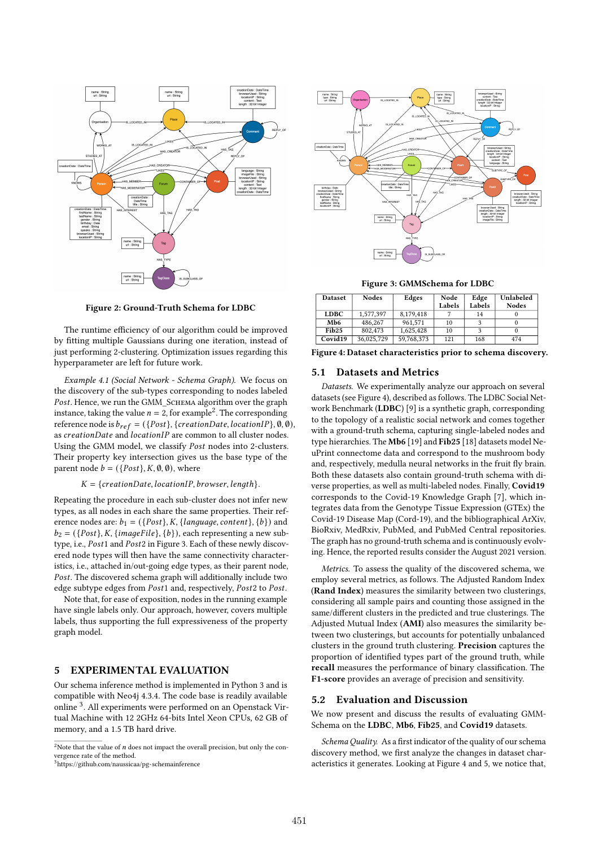

Figure 2: Ground-Truth Schema for LDBC

The runtime efficiency of our algorithm could be improved by fitting multiple Gaussians during one iteration, instead of just performing 2-clustering. Optimization issues regarding this hyperparameter are left for future work.

Example 4.1 (Social Network - Schema Graph). We focus on the discovery of the sub-types corresponding to nodes labeled . Hence, we run the GMM\_Schema algorithm over the graph instance, taking the value  $n = 2$ , for example<sup>2</sup>. The corresponding reference node is  $b_{ref} = (\{Post\}, \{creationDate, locationIP\}, \emptyset, \emptyset),$ as creationDate and locationIP are common to all cluster nodes. Using the GMM model, we classify Post nodes into 2-clusters. Their property key intersection gives us the base type of the parent node  $b = (\{Post\}, K, \emptyset, \emptyset)$ , where

#### $K = \{creationDate, location IP, browser, length\}.$

Repeating the procedure in each sub-cluster does not infer new types, as all nodes in each share the same properties. Their reference nodes are:  $b_1 = (\{Post\}, K, \{language, content\}, \{b\})$  and  $b_2 = (\{Post\}, K, \{imageFile\}, \{b\})$ , each representing a new subtype, i.e., Post1 and Post2 in Figure 3. Each of these newly discovered node types will then have the same connectivity characteristics, i.e., attached in/out-going edge types, as their parent node, . The discovered schema graph will additionally include two edge subtype edges from Post1 and, respectively, Post2 to Post.

Note that, for ease of exposition, nodes in the running example have single labels only. Our approach, however, covers multiple labels, thus supporting the full expressiveness of the property graph model.

# 5 EXPERIMENTAL EVALUATION

Our schema inference method is implemented in Python 3 and is compatible with Neo4j 4.3.4. The code base is readily available online <sup>3</sup> . All experiments were performed on an Openstack Virtual Machine with 12 2GHz 64-bits Intel Xeon CPUs, 62 GB of memory, and a 1.5 TB hard drive.



Figure 3: GMMSchema for LDBC

| <b>Dataset</b>      | Nodes      | Edges      | Node   | Edge   | Unlabeled    |
|---------------------|------------|------------|--------|--------|--------------|
|                     |            |            | Labels | Labels | <b>Nodes</b> |
| <b>LDBC</b>         | 1.577.397  | 8.179.418  |        | 14     |              |
| Mb6                 | 486,267    | 961.571    | 10     |        |              |
| Fib <sub>25</sub>   | 802.473    | 1.625.428  | 10     |        |              |
| Covid <sub>19</sub> | 36,025,729 | 59,768,373 | 121    | 168    | 474          |

Figure 4: Dataset characteristics prior to schema discovery.

## 5.1 Datasets and Metrics

Datasets. We experimentally analyze our approach on several datasets (see Figure 4), described as follows. The LDBC Social Network Benchmark (LDBC) [9] is a synthetic graph, corresponding to the topology of a realistic social network and comes together with a ground-truth schema, capturing single-labeled nodes and type hierarchies. The Mb6 [19] and Fib25 [18] datasets model NeuPrint connectome data and correspond to the mushroom body and, respectively, medulla neural networks in the fruit fly brain. Both these datasets also contain ground-truth schema with diverse properties, as well as multi-labeled nodes. Finally, Covid19 corresponds to the Covid-19 Knowledge Graph [7], which integrates data from the Genotype Tissue Expression (GTEx) the Covid-19 Disease Map (Cord-19), and the bibliographical ArXiv, BioRxiv, MedRxiv, PubMed, and PubMed Central repositories. The graph has no ground-truth schema and is continuously evolving. Hence, the reported results consider the August 2021 version.

Metrics. To assess the quality of the discovered schema, we employ several metrics, as follows. The Adjusted Random Index (Rand Index) measures the similarity between two clusterings, considering all sample pairs and counting those assigned in the same/different clusters in the predicted and true clusterings. The Adjusted Mutual Index (AMI) also measures the similarity between two clusterings, but accounts for potentially unbalanced clusters in the ground truth clustering. Precision captures the proportion of identified types part of the ground truth, while recall measures the performance of binary classification. The F1-score provides an average of precision and sensitivity.

#### 5.2 Evaluation and Discussion

We now present and discuss the results of evaluating GMM-Schema on the LDBC, Mb6, Fib25, and Covid19 datasets.

Schema Quality. As a first indicator of the quality of our schema discovery method, we first analyze the changes in dataset characteristics it generates. Looking at Figure 4 and 5, we notice that,

<sup>&</sup>lt;sup>2</sup>Note that the value of  $n$  does not impact the overall precision, but only the convergence rate of the method.

<sup>3</sup>https://github.com/naussicaa/pg-schemainference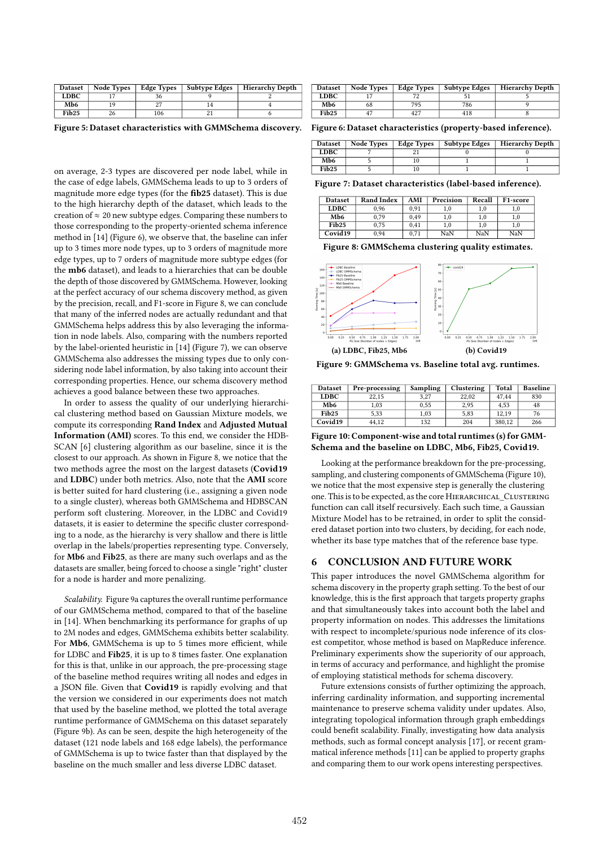| <b>Dataset</b>    | <b>Node Types</b> | <b>Edge Types</b> | Subtype Edges | <b>Hierarchy Depth</b> |
|-------------------|-------------------|-------------------|---------------|------------------------|
| <b>LDBC</b>       |                   |                   |               |                        |
| Mb6               |                   |                   |               |                        |
| Fib <sub>25</sub> |                   | 106               |               |                        |

Figure 5: Dataset characteristics with GMMSchema discovery. Figure 6: Dataset characteristics (property-based inference).

on average, 2-3 types are discovered per node label, while in the case of edge labels, GMMSchema leads to up to 3 orders of magnitude more edge types (for the fib25 dataset). This is due to the high hierarchy depth of the dataset, which leads to the creation of  $\approx 20$  new subtype edges. Comparing these numbers to those corresponding to the property-oriented schema inference method in [14] (Figure 6), we observe that, the baseline can infer up to 3 times more node types, up to 3 orders of magnitude more edge types, up to 7 orders of magnitude more subtype edges (for the mb6 dataset), and leads to a hierarchies that can be double the depth of those discovered by GMMSchema. However, looking at the perfect accuracy of our schema discovery method, as given by the precision, recall, and F1-score in Figure 8, we can conclude that many of the inferred nodes are actually redundant and that GMMSchema helps address this by also leveraging the information in node labels. Also, comparing with the numbers reported by the label-oriented heuristic in [14] (Figure 7), we can observe GMMSchema also addresses the missing types due to only considering node label information, by also taking into account their corresponding properties. Hence, our schema discovery method achieves a good balance between these two approaches.

In order to assess the quality of our underlying hierarchical clustering method based on Gaussian Mixture models, we compute its corresponding Rand Index and Adjusted Mutual Information (AMI) scores. To this end, we consider the HDB-SCAN [6] clustering algorithm as our baseline, since it is the closest to our approach. As shown in Figure 8, we notice that the two methods agree the most on the largest datasets (Covid19 and LDBC) under both metrics. Also, note that the AMI score is better suited for hard clustering (i.e., assigning a given node to a single cluster), whereas both GMMSchema and HDBSCAN perform soft clustering. Moreover, in the LDBC and Covid19 datasets, it is easier to determine the specific cluster corresponding to a node, as the hierarchy is very shallow and there is little overlap in the labels/properties representing type. Conversely, for Mb6 and Fib25, as there are many such overlaps and as the datasets are smaller, being forced to choose a single "right" cluster for a node is harder and more penalizing.

Scalability. Figure 9a captures the overall runtime performance of our GMMSchema method, compared to that of the baseline in [14]. When benchmarking its performance for graphs of up to 2M nodes and edges, GMMSchema exhibits better scalability. For Mb6, GMMSchema is up to 5 times more efficient, while for LDBC and Fib25, it is up to 8 times faster. One explanation for this is that, unlike in our approach, the pre-processing stage of the baseline method requires writing all nodes and edges in a JSON file. Given that Covid19 is rapidly evolving and that the version we considered in our experiments does not match that used by the baseline method, we plotted the total average runtime performance of GMMSchema on this dataset separately (Figure 9b). As can be seen, despite the high heterogeneity of the dataset (121 node labels and 168 edge labels), the performance of GMMSchema is up to twice faster than that displayed by the baseline on the much smaller and less diverse LDBC dataset.

| <b>Dataset</b>    | <b>Node Types</b> | <b>Edge Types</b> | Subtype Edges | Hierarchy Depth |
|-------------------|-------------------|-------------------|---------------|-----------------|
| <b>LDBC</b>       |                   |                   |               |                 |
| Mb6               |                   | 795               | 786           |                 |
| Fib <sub>25</sub> |                   | 427               |               |                 |

| <b>Dataset</b>    | <b>Node Types</b> | <b>Edge Types</b> | <b>Subtype Edges</b> | <b>Hierarchy Depth</b> |
|-------------------|-------------------|-------------------|----------------------|------------------------|
| <b>LDBC</b>       |                   |                   |                      |                        |
| Mb6               |                   |                   |                      |                        |
| Fib <sub>25</sub> |                   |                   |                      |                        |

Figure 7: Dataset characteristics (label-based inference).

| <b>Dataset</b>    | Rand Index | AMI  | Precision | Recall | F <sub>1</sub> -score |
|-------------------|------------|------|-----------|--------|-----------------------|
| <b>LDBC</b>       | 0.96       | 0.91 | $_{1.0}$  | 1.0    | 1.0                   |
| Mb6               | 0.79       | 0.49 | 1,0       | 1.0    | 1.0                   |
| Fib <sub>25</sub> | 0.75       | 0.41 | 1.0       | 1.0    | 1.0                   |
| Covid19           | 0.94       | 0.71 | NaN       | NaN    | NaN                   |

Figure 8: GMMSchema clustering quality estimates.



Figure 9: GMMSchema vs. Baseline total avg. runtimes.

| <b>Dataset</b>    | Pre-processing | Sampling | Clustering | Total  | <b>Baseline</b> |
|-------------------|----------------|----------|------------|--------|-----------------|
| <b>LDBC</b>       | 22.15          | 3.27     | 22.02      | 47.44  | 830             |
| Mb <sub>6</sub>   | 1.03           | 0.55     | 2.95       | 4.53   | 48              |
| Fib <sub>25</sub> | 5.33           | 1.03     | 5.83       | 12.19  | 76              |
| Covid19           | 44.12          | 132      | 204        | 380.12 | 266             |

Figure 10: Component-wise and total runtimes (s) for GMM-Schema and the baseline on LDBC, Mb6, Fib25, Covid19.

Looking at the performance breakdown for the pre-processing, sampling, and clustering components of GMMSchema (Figure 10), we notice that the most expensive step is generally the clustering one. This is to be expected, as the core HIERARCHICAL\_CLUSTERING function can call itself recursively. Each such time, a Gaussian Mixture Model has to be retrained, in order to split the considered dataset portion into two clusters, by deciding, for each node, whether its base type matches that of the reference base type.

## 6 CONCLUSION AND FUTURE WORK

This paper introduces the novel GMMSchema algorithm for schema discovery in the property graph setting. To the best of our knowledge, this is the first approach that targets property graphs and that simultaneously takes into account both the label and property information on nodes. This addresses the limitations with respect to incomplete/spurious node inference of its closest competitor, whose method is based on MapReduce inference. Preliminary experiments show the superiority of our approach, in terms of accuracy and performance, and highlight the promise of employing statistical methods for schema discovery.

Future extensions consists of further optimizing the approach, inferring cardinality information, and supporting incremental maintenance to preserve schema validity under updates. Also, integrating topological information through graph embeddings could benefit scalability. Finally, investigating how data analysis methods, such as formal concept analysis [17], or recent grammatical inference methods [11] can be applied to property graphs and comparing them to our work opens interesting perspectives.